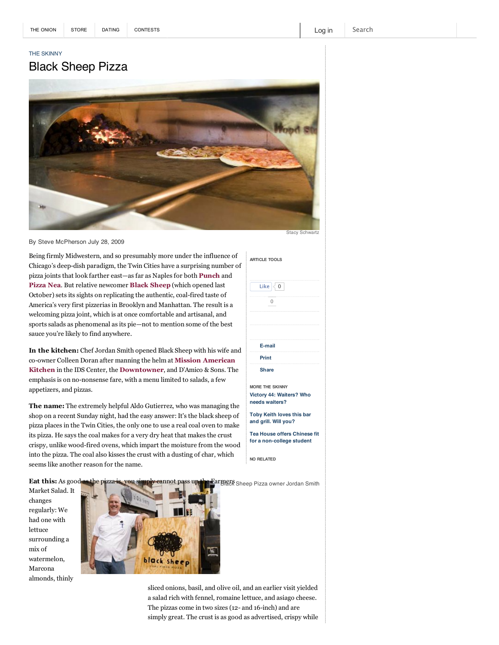## THE SKINNY

## Black Sheep Pizza



```
By Steve McPherson July 28, 2009
```
Being firmly Midwestern, and so presumably more under the influence of Chicago's deep-dish paradigm, the Twin Cities have a surprising number of pizza joints that look farther east—as far as Naples for both **Punch** and **Pizza Nea**. But relative newcomer **Black Sheep** (which opened last October) sets its sights on replicating the authentic, coal-fired taste of America's very first pizzerias in Brooklyn and Manhattan. The result is a welcoming pizza joint, which is at once comfortable and artisanal, and sports salads as phenomenal as its pie—not to mention some of the best sauce you're likely to find anywhere.

**In the kitchen:** Chef Jordan Smith opened Black Sheep with his wife and coowner Colleen Doran after manning the helm at **Mission American Kitchen** in the IDS Center, the **Downtowner**, and D'Amico & Sons. The emphasis is on no-nonsense fare, with a menu limited to salads, a few appetizers, and pizzas.

**The name:** The extremely helpful Aldo Gutierrez, who was managing the shop on a recent Sunday night, had the easy answer: It's the black sheep of pizza places in the Twin Cities, the only one to use a real coal oven to make its pizza. He says the coal makes for a very dry heat that makes the crust crispy, unlike wood-fired ovens, which impart the moisture from the wood into the pizza. The coal also kisses the crust with a dusting of char, which seems like another reason for the name.

| E-mail                 |  |
|------------------------|--|
| Print                  |  |
| <b>Share</b>           |  |
| <b>MORE THE SKINNY</b> |  |

**ARTICLE TOOLS**

Like  $\sqrt{0}$ 0

**Victory 44: Waiters? Who needs waiters?**

| <b>Toby Keith loves this bar</b> |  |
|----------------------------------|--|
| and grill. Will you?             |  |

**Tea House offers Chinese fit for a non-college student**

**NO RELATED**

**Eat this:** As good Fa**rmers** Sheep Pizza owner Jordan Smith

Market Salad. It changes regularly: We had one with lettuce surrounding a mix of watermelon, Marcona almonds, thinly



sliced onions, basil, and olive oil, and an earlier visit yielded a salad rich with fennel, romaine lettuce, and asiago cheese. The pizzas come in two sizes (12- and 16-inch) and are simply great. The crust is as good as advertised, crispy while